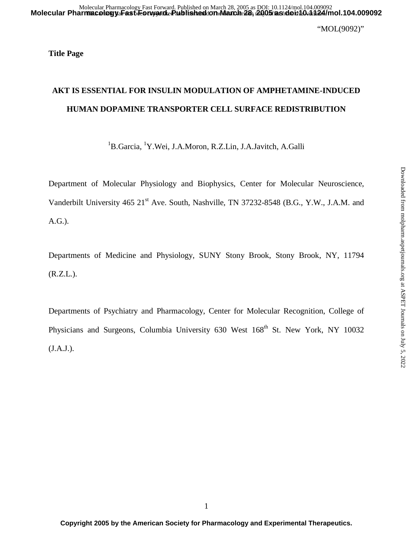**Title Page** 

# **AKT IS ESSENTIAL FOR INSULIN MODULATION OF AMPHETAMINE-INDUCED HUMAN DOPAMINE TRANSPORTER CELL SURFACE REDISTRIBUTION**

<sup>1</sup>B.Garcia, <sup>1</sup>Y.Wei, J.A.Moron, R.Z.Lin, J.A.Javitch, A.Galli

Department of Molecular Physiology and Biophysics, Center for Molecular Neuroscience, Vanderbilt University 465 21<sup>st</sup> Ave. South, Nashville, TN 37232-8548 (B.G., Y.W., J.A.M. and A.G.).

Departments of Medicine and Physiology, SUNY Stony Brook, Stony Brook, NY, 11794 (R.Z.L.).

Departments of Psychiatry and Pharmacology, Center for Molecular Recognition, College of Physicians and Surgeons, Columbia University 630 West 168<sup>th</sup> St. New York, NY 10032 (J.A.J.).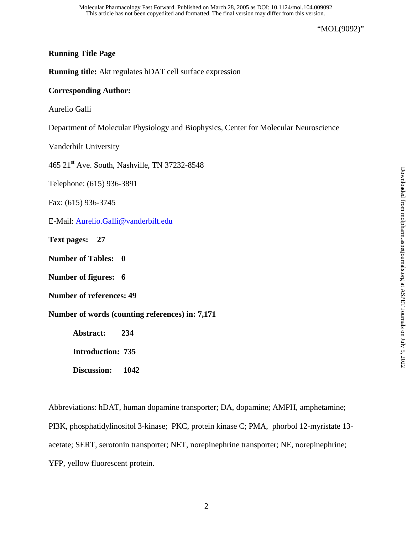This article has not been copyedited and formatted. The final version may differ from this version. Molecular Pharmacology Fast Forward. Published on March 28, 2005 as DOI: 10.1124/mol.104.009092

"MOL(9092)"

# **Running Title Page**

**Running title:** Akt regulates hDAT cell surface expression

# **Corresponding Author:**

Aurelio Galli

Department of Molecular Physiology and Biophysics, Center for Molecular Neuroscience

Vanderbilt University

465 21st Ave. South, Nashville, TN 37232-8548

Telephone: (615) 936-3891

Fax: (615) 936-3745

E-Mail: Aurelio.Galli@vanderbilt.edu

**Text pages: 27** 

- **Number of Tables: 0**
- **Number of figures: 6**

**Number of references: 49** 

**Number of words (counting references) in: 7,171** 

 **Abstract: 234** 

 **Introduction: 735** 

 **Discussion: 1042** 

Abbreviations: hDAT, human dopamine transporter; DA, dopamine; AMPH, amphetamine; PI3K, phosphatidylinositol 3-kinase; PKC, protein kinase C; PMA, phorbol 12-myristate 13 acetate; SERT, serotonin transporter; NET, norepinephrine transporter; NE, norepinephrine; YFP, yellow fluorescent protein.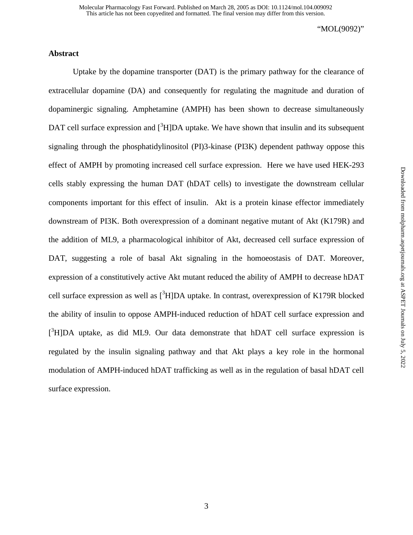# **Abstract**

Uptake by the dopamine transporter (DAT) is the primary pathway for the clearance of extracellular dopamine (DA) and consequently for regulating the magnitude and duration of dopaminergic signaling. Amphetamine (AMPH) has been shown to decrease simultaneously DAT cell surface expression and  $[^{3}H]DA$  uptake. We have shown that insulin and its subsequent signaling through the phosphatidylinositol (PI)3-kinase (PI3K) dependent pathway oppose this effect of AMPH by promoting increased cell surface expression. Here we have used HEK-293 cells stably expressing the human DAT (hDAT cells) to investigate the downstream cellular components important for this effect of insulin. Akt is a protein kinase effector immediately downstream of PI3K. Both overexpression of a dominant negative mutant of Akt (K179R) and the addition of ML9, a pharmacological inhibitor of Akt, decreased cell surface expression of DAT, suggesting a role of basal Akt signaling in the homoeostasis of DAT. Moreover, expression of a constitutively active Akt mutant reduced the ability of AMPH to decrease hDAT cell surface expression as well as  $[^{3}H]DA$  uptake. In contrast, overexpression of K179R blocked the ability of insulin to oppose AMPH-induced reduction of hDAT cell surface expression and [<sup>3</sup>H]DA uptake, as did ML9. Our data demonstrate that hDAT cell surface expression is regulated by the insulin signaling pathway and that Akt plays a key role in the hormonal modulation of AMPH-induced hDAT trafficking as well as in the regulation of basal hDAT cell surface expression.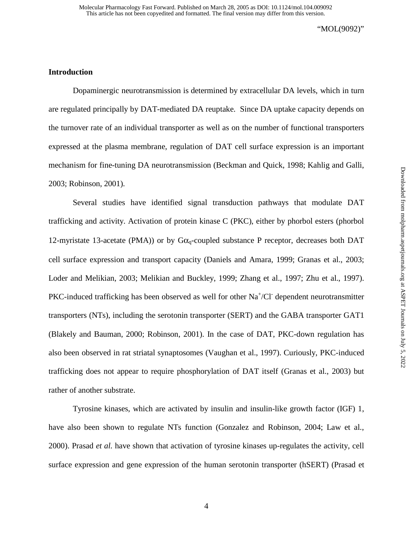# **Introduction**

Dopaminergic neurotransmission is determined by extracellular DA levels, which in turn are regulated principally by DAT-mediated DA reuptake. Since DA uptake capacity depends on the turnover rate of an individual transporter as well as on the number of functional transporters expressed at the plasma membrane, regulation of DAT cell surface expression is an important mechanism for fine-tuning DA neurotransmission (Beckman and Quick, 1998; Kahlig and Galli, 2003; Robinson, 2001).

Several studies have identified signal transduction pathways that modulate DAT trafficking and activity. Activation of protein kinase C (PKC), either by phorbol esters (phorbol 12-myristate 13-acetate (PMA)) or by  $G\alpha_q$ -coupled substance P receptor, decreases both DAT cell surface expression and transport capacity (Daniels and Amara, 1999; Granas et al., 2003; Loder and Melikian, 2003; Melikian and Buckley, 1999; Zhang et al., 1997; Zhu et al., 1997). PKC-induced trafficking has been observed as well for other  $\text{Na}^+\text{/} \text{Cl}^-$  dependent neurotransmitter transporters (NTs), including the serotonin transporter (SERT) and the GABA transporter GAT1 (Blakely and Bauman, 2000; Robinson, 2001). In the case of DAT, PKC-down regulation has also been observed in rat striatal synaptosomes (Vaughan et al., 1997). Curiously, PKC-induced trafficking does not appear to require phosphorylation of DAT itself (Granas et al., 2003) but rather of another substrate.

Tyrosine kinases, which are activated by insulin and insulin-like growth factor (IGF) 1, have also been shown to regulate NTs function (Gonzalez and Robinson, 2004; Law et al., 2000). Prasad *et al.* have shown that activation of tyrosine kinases up-regulates the activity, cell surface expression and gene expression of the human serotonin transporter (hSERT) (Prasad et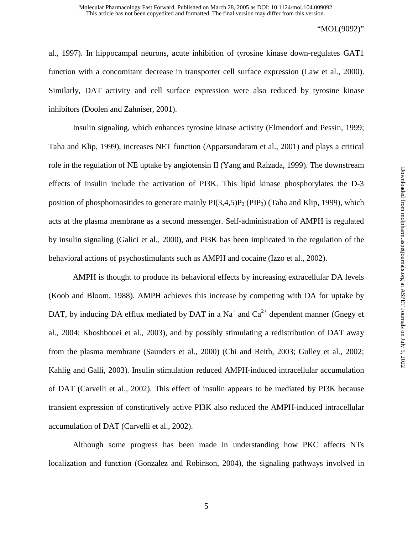al., 1997). In hippocampal neurons, acute inhibition of tyrosine kinase down-regulates GAT1 function with a concomitant decrease in transporter cell surface expression (Law et al., 2000). Similarly, DAT activity and cell surface expression were also reduced by tyrosine kinase inhibitors (Doolen and Zahniser, 2001).

Insulin signaling, which enhances tyrosine kinase activity (Elmendorf and Pessin, 1999; Taha and Klip, 1999), increases NET function (Apparsundaram et al., 2001) and plays a critical role in the regulation of NE uptake by angiotensin II (Yang and Raizada, 1999). The downstream effects of insulin include the activation of PI3K. This lipid kinase phosphorylates the D-3 position of phosphoinositides to generate mainly  $PI(3,4,5)P_3$  (PIP<sub>3</sub>) (Taha and Klip, 1999), which acts at the plasma membrane as a second messenger. Self-administration of AMPH is regulated by insulin signaling (Galici et al., 2000), and PI3K has been implicated in the regulation of the behavioral actions of psychostimulants such as AMPH and cocaine (Izzo et al., 2002).

AMPH is thought to produce its behavioral effects by increasing extracellular DA levels (Koob and Bloom, 1988). AMPH achieves this increase by competing with DA for uptake by DAT, by inducing DA efflux mediated by DAT in a Na<sup>+</sup> and  $Ca^{2+}$  dependent manner (Gnegy et al., 2004; Khoshbouei et al., 2003), and by possibly stimulating a redistribution of DAT away from the plasma membrane (Saunders et al., 2000) (Chi and Reith, 2003; Gulley et al., 2002; Kahlig and Galli, 2003). Insulin stimulation reduced AMPH-induced intracellular accumulation of DAT (Carvelli et al., 2002). This effect of insulin appears to be mediated by PI3K because transient expression of constitutively active PI3K also reduced the AMPH-induced intracellular accumulation of DAT (Carvelli et al., 2002).

Although some progress has been made in understanding how PKC affects NTs localization and function (Gonzalez and Robinson, 2004), the signaling pathways involved in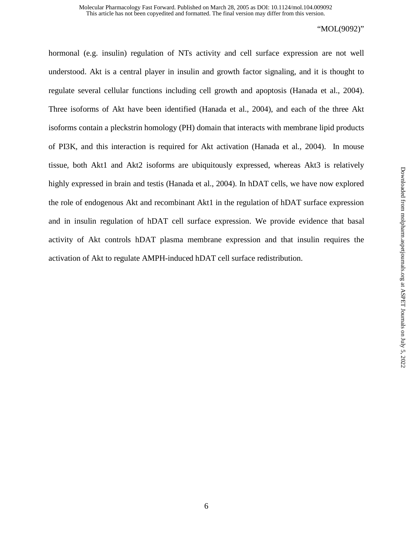hormonal (e.g. insulin) regulation of NTs activity and cell surface expression are not well understood. Akt is a central player in insulin and growth factor signaling, and it is thought to regulate several cellular functions including cell growth and apoptosis (Hanada et al., 2004). Three isoforms of Akt have been identified (Hanada et al., 2004), and each of the three Akt isoforms contain a pleckstrin homology (PH) domain that interacts with membrane lipid products of PI3K, and this interaction is required for Akt activation (Hanada et al., 2004). In mouse tissue, both Akt1 and Akt2 isoforms are ubiquitously expressed, whereas Akt3 is relatively highly expressed in brain and testis (Hanada et al., 2004). In hDAT cells, we have now explored the role of endogenous Akt and recombinant Akt1 in the regulation of hDAT surface expression and in insulin regulation of hDAT cell surface expression. We provide evidence that basal activity of Akt controls hDAT plasma membrane expression and that insulin requires the activation of Akt to regulate AMPH-induced hDAT cell surface redistribution.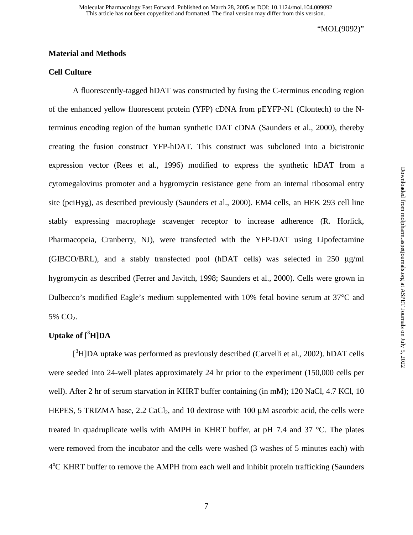# **Material and Methods**

# **Cell Culture**

A fluorescently-tagged hDAT was constructed by fusing the C-terminus encoding region of the enhanced yellow fluorescent protein (YFP) cDNA from pEYFP-N1 (Clontech) to the Nterminus encoding region of the human synthetic DAT cDNA (Saunders et al., 2000), thereby creating the fusion construct YFP-hDAT. This construct was subcloned into a bicistronic expression vector (Rees et al., 1996) modified to express the synthetic hDAT from a cytomegalovirus promoter and a hygromycin resistance gene from an internal ribosomal entry site (pciHyg), as described previously (Saunders et al., 2000). EM4 cells, an HEK 293 cell line stably expressing macrophage scavenger receptor to increase adherence (R. Horlick, Pharmacopeia, Cranberry, NJ), were transfected with the YFP-DAT using Lipofectamine (GIBCO/BRL), and a stably transfected pool (hDAT cells) was selected in 250 µg/ml hygromycin as described (Ferrer and Javitch, 1998; Saunders et al., 2000). Cells were grown in Dulbecco's modified Eagle's medium supplemented with 10% fetal bovine serum at 37°C and 5% CO<sub>2</sub>.

# **Uptake of [3 H]DA**

[<sup>3</sup>H]DA uptake was performed as previously described (Carvelli et al., 2002). hDAT cells were seeded into 24-well plates approximately 24 hr prior to the experiment (150,000 cells per well). After 2 hr of serum starvation in KHRT buffer containing (in mM); 120 NaCl, 4.7 KCl, 10 HEPES, 5 TRIZMA base, 2.2 CaCl<sub>2</sub>, and 10 dextrose with 100  $\mu$ M ascorbic acid, the cells were treated in quadruplicate wells with AMPH in KHRT buffer, at pH 7.4 and 37 °C. The plates were removed from the incubator and the cells were washed (3 washes of 5 minutes each) with 4<sup>o</sup>C KHRT buffer to remove the AMPH from each well and inhibit protein trafficking (Saunders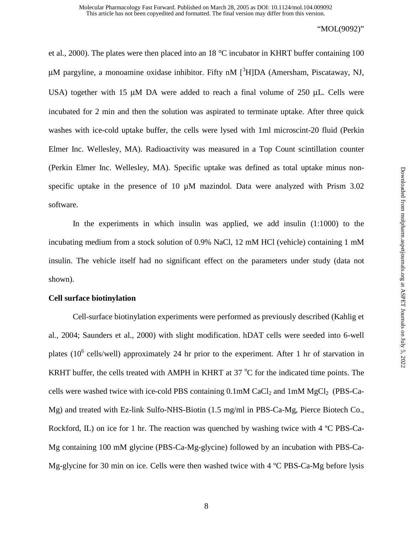et al., 2000). The plates were then placed into an 18 °C incubator in KHRT buffer containing 100  $\mu$ M pargyline, a monoamine oxidase inhibitor. Fifty nM  $[^{3}H]DA$  (Amersham, Piscataway, NJ, USA) together with 15 µM DA were added to reach a final volume of 250 µL. Cells were incubated for 2 min and then the solution was aspirated to terminate uptake. After three quick washes with ice-cold uptake buffer, the cells were lysed with 1ml microscint-20 fluid (Perkin Elmer Inc. Wellesley, MA). Radioactivity was measured in a Top Count scintillation counter (Perkin Elmer Inc. Wellesley, MA). Specific uptake was defined as total uptake minus nonspecific uptake in the presence of 10  $\mu$ M mazindol. Data were analyzed with Prism 3.02 software.

In the experiments in which insulin was applied, we add insulin  $(1:1000)$  to the incubating medium from a stock solution of 0.9% NaCl, 12 mM HCl (vehicle) containing 1 mM insulin. The vehicle itself had no significant effect on the parameters under study (data not shown).

## **Cell surface biotinylation**

Cell-surface biotinylation experiments were performed as previously described (Kahlig et al., 2004; Saunders et al., 2000) with slight modification. hDAT cells were seeded into 6-well plates ( $10^6$  cells/well) approximately 24 hr prior to the experiment. After 1 hr of starvation in KRHT buffer, the cells treated with AMPH in KHRT at 37  $\mathrm{^{\circ}C}$  for the indicated time points. The cells were washed twice with ice-cold PBS containing  $0.1 \text{m} \text{M}$  CaCl<sub>2</sub> and  $1 \text{m} \text{M}$  MgCl<sub>2</sub> (PBS-Ca-Mg) and treated with Ez-link Sulfo-NHS-Biotin (1.5 mg/ml in PBS-Ca-Mg, Pierce Biotech Co., Rockford, IL) on ice for 1 hr. The reaction was quenched by washing twice with 4 °C PBS-Ca-Mg containing 100 mM glycine (PBS-Ca-Mg-glycine) followed by an incubation with PBS-Ca-Mg-glycine for 30 min on ice. Cells were then washed twice with 4 ºC PBS-Ca-Mg before lysis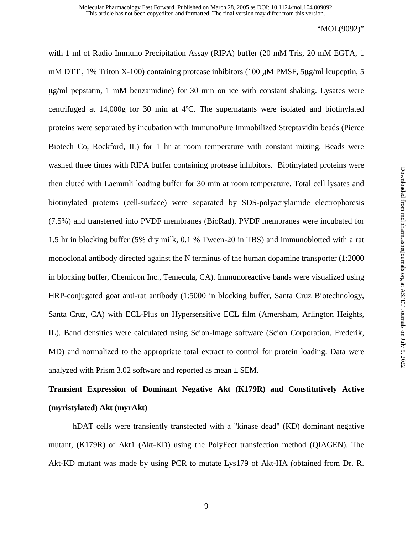with 1 ml of Radio Immuno Precipitation Assay (RIPA) buffer (20 mM Tris, 20 mM EGTA, 1 mM DTT, 1% Triton X-100) containing protease inhibitors (100 µM PMSF, 5µg/ml leupeptin, 5 <sup>µ</sup>g/ml pepstatin, 1 mM benzamidine) for 30 min on ice with constant shaking. Lysates were centrifuged at 14,000g for 30 min at 4ºC. The supernatants were isolated and biotinylated proteins were separated by incubation with ImmunoPure Immobilized Streptavidin beads (Pierce Biotech Co, Rockford, IL) for 1 hr at room temperature with constant mixing. Beads were washed three times with RIPA buffer containing protease inhibitors. Biotinylated proteins were then eluted with Laemmli loading buffer for 30 min at room temperature. Total cell lysates and biotinylated proteins (cell-surface) were separated by SDS-polyacrylamide electrophoresis (7.5%) and transferred into PVDF membranes (BioRad). PVDF membranes were incubated for 1.5 hr in blocking buffer (5% dry milk, 0.1 % Tween-20 in TBS) and immunoblotted with a rat monoclonal antibody directed against the N terminus of the human dopamine transporter (1:2000 in blocking buffer, Chemicon Inc., Temecula, CA). Immunoreactive bands were visualized using HRP-conjugated goat anti-rat antibody (1:5000 in blocking buffer, Santa Cruz Biotechnology, Santa Cruz, CA) with ECL-Plus on Hypersensitive ECL film (Amersham, Arlington Heights, IL). Band densities were calculated using Scion-Image software (Scion Corporation, Frederik, MD) and normalized to the appropriate total extract to control for protein loading. Data were analyzed with Prism 3.02 software and reported as mean  $\pm$  SEM.

# **Transient Expression of Dominant Negative Akt (K179R) and Constitutively Active (myristylated) Akt (myrAkt)**

hDAT cells were transiently transfected with a "kinase dead" (KD) dominant negative mutant, (K179R) of Akt1 (Akt-KD) using the PolyFect transfection method (QIAGEN). The Akt-KD mutant was made by using PCR to mutate Lys179 of Akt-HA (obtained from Dr. R.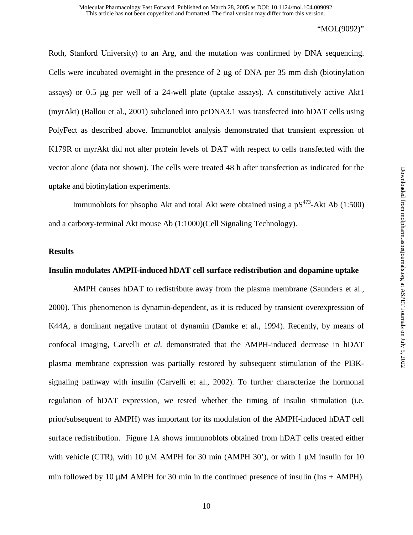Roth, Stanford University) to an Arg, and the mutation was confirmed by DNA sequencing. Cells were incubated overnight in the presence of 2 µg of DNA per 35 mm dish (biotinylation assays) or 0.5 µg per well of a 24-well plate (uptake assays). A constitutively active Akt1 (myrAkt) (Ballou et al., 2001) subcloned into pcDNA3.1 was transfected into hDAT cells using PolyFect as described above. Immunoblot analysis demonstrated that transient expression of K179R or myrAkt did not alter protein levels of DAT with respect to cells transfected with the vector alone (data not shown). The cells were treated 48 h after transfection as indicated for the uptake and biotinylation experiments.

Immunoblots for phsopho Akt and total Akt were obtained using a  $pS^{473}$ -Akt Ab (1:500) and a carboxy-terminal Akt mouse Ab (1:1000)(Cell Signaling Technology).

## **Results**

# **Insulin modulates AMPH-induced hDAT cell surface redistribution and dopamine uptake**

AMPH causes hDAT to redistribute away from the plasma membrane (Saunders et al., 2000). This phenomenon is dynamin-dependent, as it is reduced by transient overexpression of K44A, a dominant negative mutant of dynamin (Damke et al., 1994). Recently, by means of confocal imaging, Carvelli *et al.* demonstrated that the AMPH-induced decrease in hDAT plasma membrane expression was partially restored by subsequent stimulation of the PI3Ksignaling pathway with insulin (Carvelli et al., 2002). To further characterize the hormonal regulation of hDAT expression, we tested whether the timing of insulin stimulation (i.e. prior/subsequent to AMPH) was important for its modulation of the AMPH-induced hDAT cell surface redistribution. Figure 1A shows immunoblots obtained from hDAT cells treated either with vehicle (CTR), with 10  $\mu$ M AMPH for 30 min (AMPH 30'), or with 1  $\mu$ M insulin for 10 min followed by 10  $\mu$ M AMPH for 30 min in the continued presence of insulin (Ins + AMPH).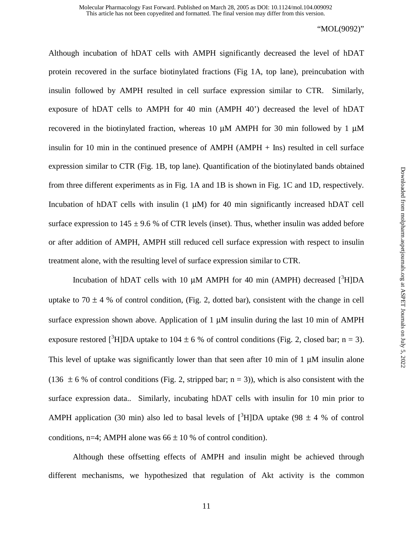Although incubation of hDAT cells with AMPH significantly decreased the level of hDAT protein recovered in the surface biotinylated fractions (Fig 1A, top lane), preincubation with insulin followed by AMPH resulted in cell surface expression similar to CTR. Similarly, exposure of hDAT cells to AMPH for 40 min (AMPH 40') decreased the level of hDAT recovered in the biotinylated fraction, whereas 10 µM AMPH for 30 min followed by 1 µM insulin for 10 min in the continued presence of AMPH (AMPH + Ins) resulted in cell surface expression similar to CTR (Fig. 1B, top lane). Quantification of the biotinylated bands obtained from three different experiments as in Fig. 1A and 1B is shown in Fig. 1C and 1D, respectively. Incubation of hDAT cells with insulin  $(1 \mu M)$  for 40 min significantly increased hDAT cell surface expression to  $145 \pm 9.6$  % of CTR levels (inset). Thus, whether insulin was added before or after addition of AMPH, AMPH still reduced cell surface expression with respect to insulin treatment alone, with the resulting level of surface expression similar to CTR.

Incubation of hDAT cells with 10  $\mu$ M AMPH for 40 min (AMPH) decreased  $[^{3}H]DA$ uptake to 70  $\pm$  4 % of control condition, (Fig. 2, dotted bar), consistent with the change in cell surface expression shown above. Application of 1  $\mu$ M insulin during the last 10 min of AMPH exposure restored  $\binom{3}{1}$ DA uptake to 104 ± 6 % of control conditions (Fig. 2, closed bar; n = 3). This level of uptake was significantly lower than that seen after 10 min of 1  $\mu$ M insulin alone (136  $\pm$  6 % of control conditions (Fig. 2, stripped bar; n = 3)), which is also consistent with the surface expression data.. Similarly, incubating hDAT cells with insulin for 10 min prior to AMPH application (30 min) also led to basal levels of  $[3H]DA$  uptake (98  $\pm$  4 % of control conditions, n=4; AMPH alone was  $66 \pm 10$  % of control condition).

Although these offsetting effects of AMPH and insulin might be achieved through different mechanisms, we hypothesized that regulation of Akt activity is the common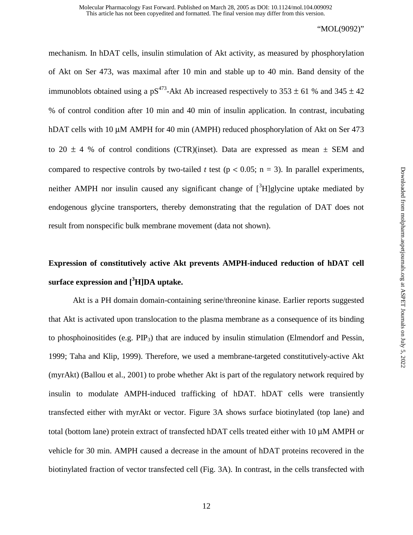mechanism. In hDAT cells, insulin stimulation of Akt activity, as measured by phosphorylation of Akt on Ser 473, was maximal after 10 min and stable up to 40 min. Band density of the immunoblots obtained using a  $pS^{473}$ -Akt Ab increased respectively to 353  $\pm$  61 % and 345  $\pm$  42 % of control condition after 10 min and 40 min of insulin application. In contrast, incubating hDAT cells with 10  $\mu$ M AMPH for 40 min (AMPH) reduced phosphorylation of Akt on Ser 473 to 20  $\pm$  4 % of control conditions (CTR)(inset). Data are expressed as mean  $\pm$  SEM and compared to respective controls by two-tailed *t* test ( $p < 0.05$ ;  $n = 3$ ). In parallel experiments, neither AMPH nor insulin caused any significant change of  $[^{3}H]$ glycine uptake mediated by endogenous glycine transporters, thereby demonstrating that the regulation of DAT does not result from nonspecific bulk membrane movement (data not shown).

# **Expression of constitutively active Akt prevents AMPH-induced reduction of hDAT cell surface expression and [3 H]DA uptake.**

Akt is a PH domain domain-containing serine/threonine kinase. Earlier reports suggested that Akt is activated upon translocation to the plasma membrane as a consequence of its binding to phosphoinositides (e.g.  $PIP_3$ ) that are induced by insulin stimulation (Elmendorf and Pessin, 1999; Taha and Klip, 1999). Therefore, we used a membrane-targeted constitutively-active Akt (myrAkt) (Ballou et al., 2001) to probe whether Akt is part of the regulatory network required by insulin to modulate AMPH-induced trafficking of hDAT. hDAT cells were transiently transfected either with myrAkt or vector. Figure 3A shows surface biotinylated (top lane) and total (bottom lane) protein extract of transfected hDAT cells treated either with 10 µM AMPH or vehicle for 30 min. AMPH caused a decrease in the amount of hDAT proteins recovered in the biotinylated fraction of vector transfected cell (Fig. 3A). In contrast, in the cells transfected with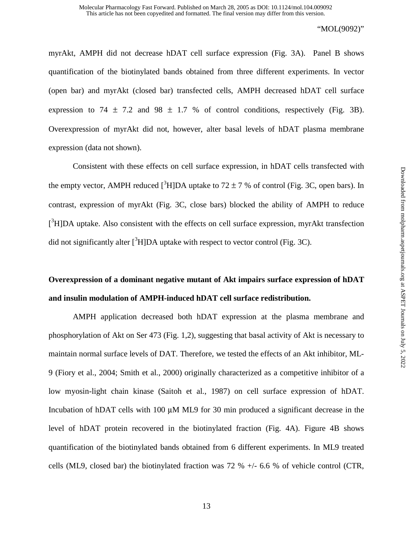myrAkt, AMPH did not decrease hDAT cell surface expression (Fig. 3A). Panel B shows quantification of the biotinylated bands obtained from three different experiments. In vector (open bar) and myrAkt (closed bar) transfected cells, AMPH decreased hDAT cell surface expression to 74  $\pm$  7.2 and 98  $\pm$  1.7 % of control conditions, respectively (Fig. 3B). Overexpression of myrAkt did not, however, alter basal levels of hDAT plasma membrane expression (data not shown).

Consistent with these effects on cell surface expression, in hDAT cells transfected with the empty vector, AMPH reduced  $[^{3}H]DA$  uptake to 72  $\pm$  7 % of control (Fig. 3C, open bars). In contrast, expression of myrAkt (Fig. 3C, close bars) blocked the ability of AMPH to reduce [<sup>3</sup>H]DA uptake. Also consistent with the effects on cell surface expression, myrAkt transfection did not significantly alter  $[^{3}H]DA$  uptake with respect to vector control (Fig. 3C).

# **Overexpression of a dominant negative mutant of Akt impairs surface expression of hDAT and insulin modulation of AMPH-induced hDAT cell surface redistribution.**

AMPH application decreased both hDAT expression at the plasma membrane and phosphorylation of Akt on Ser 473 (Fig. 1,2), suggesting that basal activity of Akt is necessary to maintain normal surface levels of DAT. Therefore, we tested the effects of an Akt inhibitor, ML-9 (Fiory et al., 2004; Smith et al., 2000) originally characterized as a competitive inhibitor of a low myosin-light chain kinase (Saitoh et al., 1987) on cell surface expression of hDAT. Incubation of hDAT cells with 100  $\mu$ M ML9 for 30 min produced a significant decrease in the level of hDAT protein recovered in the biotinylated fraction (Fig. 4A). Figure 4B shows quantification of the biotinylated bands obtained from 6 different experiments. In ML9 treated cells (ML9, closed bar) the biotinylated fraction was 72 %  $+/-$  6.6 % of vehicle control (CTR,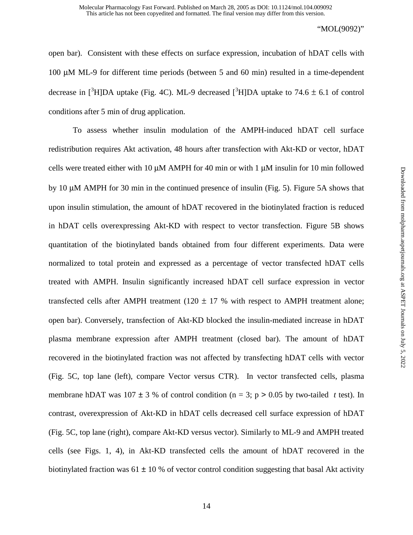open bar). Consistent with these effects on surface expression, incubation of hDAT cells with 100 µM ML-9 for different time periods (between 5 and 60 min) resulted in a time-dependent decrease in [<sup>3</sup>H]DA uptake (Fig. 4C). ML-9 decreased [<sup>3</sup>H]DA uptake to 74.6  $\pm$  6.1 of control conditions after 5 min of drug application.

To assess whether insulin modulation of the AMPH-induced hDAT cell surface redistribution requires Akt activation, 48 hours after transfection with Akt-KD or vector, hDAT cells were treated either with 10  $\mu$ M AMPH for 40 min or with 1  $\mu$ M insulin for 10 min followed by 10 µM AMPH for 30 min in the continued presence of insulin (Fig. 5). Figure 5A shows that upon insulin stimulation, the amount of hDAT recovered in the biotinylated fraction is reduced in hDAT cells overexpressing Akt-KD with respect to vector transfection. Figure 5B shows quantitation of the biotinylated bands obtained from four different experiments. Data were normalized to total protein and expressed as a percentage of vector transfected hDAT cells treated with AMPH. Insulin significantly increased hDAT cell surface expression in vector transfected cells after AMPH treatment (120  $\pm$  17 % with respect to AMPH treatment alone; open bar). Conversely, transfection of Akt-KD blocked the insulin-mediated increase in hDAT plasma membrane expression after AMPH treatment (closed bar). The amount of hDAT recovered in the biotinylated fraction was not affected by transfecting hDAT cells with vector (Fig. 5C, top lane (left), compare Vector versus CTR). In vector transfected cells, plasma membrane hDAT was  $107 \pm 3$  % of control condition (n = 3; p > 0.05 by two-tailed *t* test). In contrast, overexpression of Akt-KD in hDAT cells decreased cell surface expression of hDAT (Fig. 5C, top lane (right), compare Akt-KD versus vector). Similarly to ML-9 and AMPH treated cells (see Figs. 1, 4), in Akt-KD transfected cells the amount of hDAT recovered in the biotinylated fraction was 61  $\pm$  10 % of vector control condition suggesting that basal Akt activity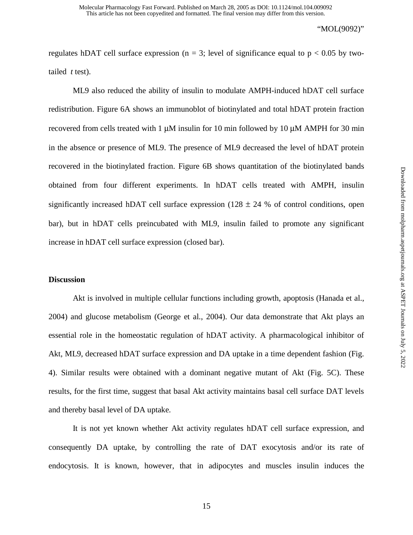regulates hDAT cell surface expression ( $n = 3$ ; level of significance equal to  $p < 0.05$  by twotailed *t* test).

ML9 also reduced the ability of insulin to modulate AMPH-induced hDAT cell surface redistribution. Figure 6A shows an immunoblot of biotinylated and total hDAT protein fraction recovered from cells treated with 1 µM insulin for 10 min followed by 10 µM AMPH for 30 min in the absence or presence of ML9. The presence of ML9 decreased the level of hDAT protein recovered in the biotinylated fraction. Figure 6B shows quantitation of the biotinylated bands obtained from four different experiments. In hDAT cells treated with AMPH, insulin significantly increased hDAT cell surface expression (128  $\pm$  24 % of control conditions, open bar), but in hDAT cells preincubated with ML9, insulin failed to promote any significant increase in hDAT cell surface expression (closed bar).

# **Discussion**

Akt is involved in multiple cellular functions including growth, apoptosis (Hanada et al., 2004) and glucose metabolism (George et al., 2004). Our data demonstrate that Akt plays an essential role in the homeostatic regulation of hDAT activity. A pharmacological inhibitor of Akt, ML9, decreased hDAT surface expression and DA uptake in a time dependent fashion (Fig. 4). Similar results were obtained with a dominant negative mutant of Akt (Fig. 5C). These results, for the first time, suggest that basal Akt activity maintains basal cell surface DAT levels and thereby basal level of DA uptake.

It is not yet known whether Akt activity regulates hDAT cell surface expression, and consequently DA uptake, by controlling the rate of DAT exocytosis and/or its rate of endocytosis. It is known, however, that in adipocytes and muscles insulin induces the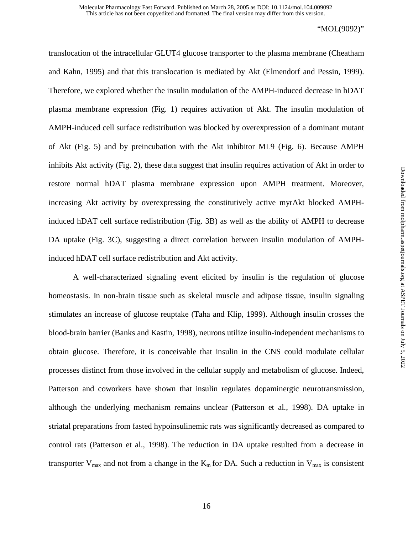translocation of the intracellular GLUT4 glucose transporter to the plasma membrane (Cheatham and Kahn, 1995) and that this translocation is mediated by Akt (Elmendorf and Pessin, 1999). Therefore, we explored whether the insulin modulation of the AMPH-induced decrease in hDAT plasma membrane expression (Fig. 1) requires activation of Akt. The insulin modulation of AMPH-induced cell surface redistribution was blocked by overexpression of a dominant mutant of Akt (Fig. 5) and by preincubation with the Akt inhibitor ML9 (Fig. 6). Because AMPH inhibits Akt activity (Fig. 2), these data suggest that insulin requires activation of Akt in order to restore normal hDAT plasma membrane expression upon AMPH treatment. Moreover, increasing Akt activity by overexpressing the constitutively active myrAkt blocked AMPHinduced hDAT cell surface redistribution (Fig. 3B) as well as the ability of AMPH to decrease DA uptake (Fig. 3C), suggesting a direct correlation between insulin modulation of AMPHinduced hDAT cell surface redistribution and Akt activity.

A well-characterized signaling event elicited by insulin is the regulation of glucose homeostasis. In non-brain tissue such as skeletal muscle and adipose tissue, insulin signaling stimulates an increase of glucose reuptake (Taha and Klip, 1999). Although insulin crosses the blood-brain barrier (Banks and Kastin, 1998), neurons utilize insulin-independent mechanisms to obtain glucose. Therefore, it is conceivable that insulin in the CNS could modulate cellular processes distinct from those involved in the cellular supply and metabolism of glucose. Indeed, Patterson and coworkers have shown that insulin regulates dopaminergic neurotransmission, although the underlying mechanism remains unclear (Patterson et al., 1998). DA uptake in striatal preparations from fasted hypoinsulinemic rats was significantly decreased as compared to control rats (Patterson et al., 1998). The reduction in DA uptake resulted from a decrease in transporter  $V_{max}$  and not from a change in the  $K_m$  for DA. Such a reduction in  $V_{max}$  is consistent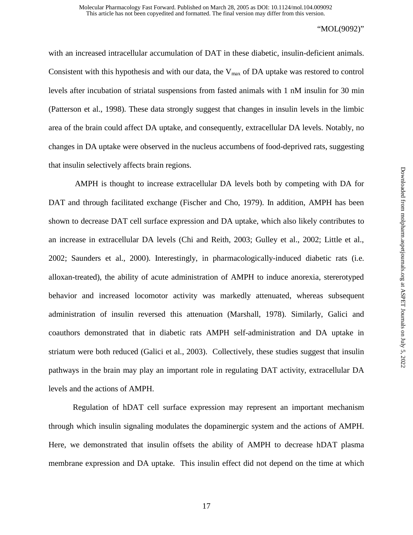with an increased intracellular accumulation of DAT in these diabetic, insulin-deficient animals. Consistent with this hypothesis and with our data, the  $V_{max}$  of DA uptake was restored to control levels after incubation of striatal suspensions from fasted animals with 1 nM insulin for 30 min (Patterson et al., 1998). These data strongly suggest that changes in insulin levels in the limbic area of the brain could affect DA uptake, and consequently, extracellular DA levels. Notably, no changes in DA uptake were observed in the nucleus accumbens of food-deprived rats, suggesting that insulin selectively affects brain regions.

 AMPH is thought to increase extracellular DA levels both by competing with DA for DAT and through facilitated exchange (Fischer and Cho, 1979). In addition, AMPH has been shown to decrease DAT cell surface expression and DA uptake, which also likely contributes to an increase in extracellular DA levels (Chi and Reith, 2003; Gulley et al., 2002; Little et al., 2002; Saunders et al., 2000). Interestingly, in pharmacologically-induced diabetic rats (i.e. alloxan-treated), the ability of acute administration of AMPH to induce anorexia, stererotyped behavior and increased locomotor activity was markedly attenuated, whereas subsequent administration of insulin reversed this attenuation (Marshall, 1978). Similarly, Galici and coauthors demonstrated that in diabetic rats AMPH self-administration and DA uptake in striatum were both reduced (Galici et al., 2003). Collectively, these studies suggest that insulin pathways in the brain may play an important role in regulating DAT activity, extracellular DA levels and the actions of AMPH.

Regulation of hDAT cell surface expression may represent an important mechanism through which insulin signaling modulates the dopaminergic system and the actions of AMPH. Here, we demonstrated that insulin offsets the ability of AMPH to decrease hDAT plasma membrane expression and DA uptake. This insulin effect did not depend on the time at which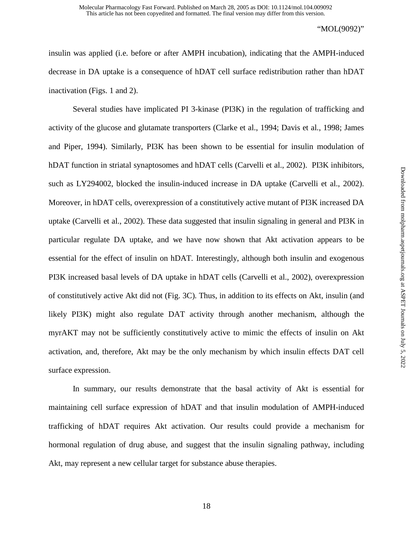insulin was applied (i.e. before or after AMPH incubation), indicating that the AMPH-induced decrease in DA uptake is a consequence of hDAT cell surface redistribution rather than hDAT inactivation (Figs. 1 and 2).

Several studies have implicated PI 3-kinase (PI3K) in the regulation of trafficking and activity of the glucose and glutamate transporters (Clarke et al., 1994; Davis et al., 1998; James and Piper, 1994). Similarly, PI3K has been shown to be essential for insulin modulation of hDAT function in striatal synaptosomes and hDAT cells (Carvelli et al., 2002). PI3K inhibitors, such as LY294002, blocked the insulin-induced increase in DA uptake (Carvelli et al., 2002). Moreover, in hDAT cells, overexpression of a constitutively active mutant of PI3K increased DA uptake (Carvelli et al., 2002). These data suggested that insulin signaling in general and PI3K in particular regulate DA uptake, and we have now shown that Akt activation appears to be essential for the effect of insulin on hDAT. Interestingly, although both insulin and exogenous PI3K increased basal levels of DA uptake in hDAT cells (Carvelli et al., 2002), overexpression of constitutively active Akt did not (Fig. 3C). Thus, in addition to its effects on Akt, insulin (and likely PI3K) might also regulate DAT activity through another mechanism, although the myrAKT may not be sufficiently constitutively active to mimic the effects of insulin on Akt activation, and, therefore, Akt may be the only mechanism by which insulin effects DAT cell surface expression.

In summary, our results demonstrate that the basal activity of Akt is essential for maintaining cell surface expression of hDAT and that insulin modulation of AMPH-induced trafficking of hDAT requires Akt activation. Our results could provide a mechanism for hormonal regulation of drug abuse, and suggest that the insulin signaling pathway, including Akt, may represent a new cellular target for substance abuse therapies.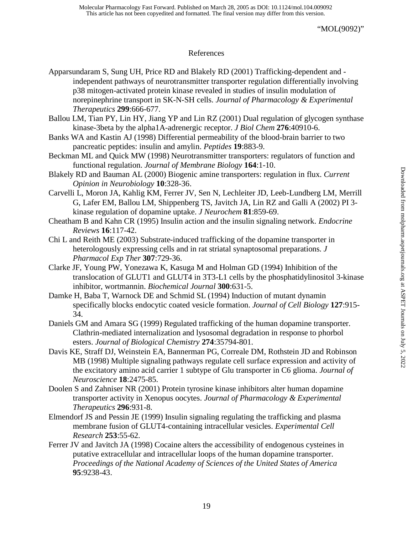# References

- Apparsundaram S, Sung UH, Price RD and Blakely RD (2001) Trafficking-dependent and independent pathways of neurotransmitter transporter regulation differentially involving p38 mitogen-activated protein kinase revealed in studies of insulin modulation of norepinephrine transport in SK-N-SH cells. *Journal of Pharmacology & Experimental Therapeutics* **299**:666-677.
- Ballou LM, Tian PY, Lin HY, Jiang YP and Lin RZ (2001) Dual regulation of glycogen synthase kinase-3beta by the alpha1A-adrenergic receptor. *J Biol Chem* **276**:40910-6.
- Banks WA and Kastin AJ (1998) Differential permeability of the blood-brain barrier to two pancreatic peptides: insulin and amylin. *Peptides* **19**:883-9.
- Beckman ML and Quick MW (1998) Neurotransmitter transporters: regulators of function and functional regulation. *Journal of Membrane Biology* **164**:1-10.
- Blakely RD and Bauman AL (2000) Biogenic amine transporters: regulation in flux. *Current Opinion in Neurobiology* **10**:328-36.
- Carvelli L, Moron JA, Kahlig KM, Ferrer JV, Sen N, Lechleiter JD, Leeb-Lundberg LM, Merrill G, Lafer EM, Ballou LM, Shippenberg TS, Javitch JA, Lin RZ and Galli A (2002) PI 3 kinase regulation of dopamine uptake. *J Neurochem* **81**:859-69.
- Cheatham B and Kahn CR (1995) Insulin action and the insulin signaling network. *Endocrine Reviews* **16**:117-42.
- Chi L and Reith ME (2003) Substrate-induced trafficking of the dopamine transporter in heterologously expressing cells and in rat striatal synaptosomal preparations. *J Pharmacol Exp Ther* **307**:729-36.
- Clarke JF, Young PW, Yonezawa K, Kasuga M and Holman GD (1994) Inhibition of the translocation of GLUT1 and GLUT4 in 3T3-L1 cells by the phosphatidylinositol 3-kinase inhibitor, wortmannin. *Biochemical Journal* **300**:631-5.
- Damke H, Baba T, Warnock DE and Schmid SL (1994) Induction of mutant dynamin specifically blocks endocytic coated vesicle formation. *Journal of Cell Biology* **127**:915- 34.
- Daniels GM and Amara SG (1999) Regulated trafficking of the human dopamine transporter. Clathrin-mediated internalization and lysosomal degradation in response to phorbol esters. *Journal of Biological Chemistry* **274**:35794-801.
- Davis KE, Straff DJ, Weinstein EA, Bannerman PG, Correale DM, Rothstein JD and Robinson MB (1998) Multiple signaling pathways regulate cell surface expression and activity of the excitatory amino acid carrier 1 subtype of Glu transporter in C6 glioma. *Journal of Neuroscience* **18**:2475-85.
- Doolen S and Zahniser NR (2001) Protein tyrosine kinase inhibitors alter human dopamine transporter activity in Xenopus oocytes. *Journal of Pharmacology & Experimental Therapeutics* **296**:931-8.
- Elmendorf JS and Pessin JE (1999) Insulin signaling regulating the trafficking and plasma membrane fusion of GLUT4-containing intracellular vesicles. *Experimental Cell Research* **253**:55-62.
- Ferrer JV and Javitch JA (1998) Cocaine alters the accessibility of endogenous cysteines in putative extracellular and intracellular loops of the human dopamine transporter. *Proceedings of the National Academy of Sciences of the United States of America* **95**:9238-43.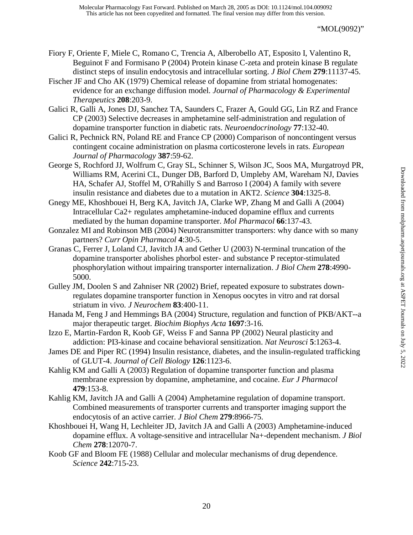- Fiory F, Oriente F, Miele C, Romano C, Trencia A, Alberobello AT, Esposito I, Valentino R, Beguinot F and Formisano P (2004) Protein kinase C-zeta and protein kinase B regulate distinct steps of insulin endocytosis and intracellular sorting. *J Biol Chem* **279**:11137-45.
- Fischer JF and Cho AK (1979) Chemical release of dopamine from striatal homogenates: evidence for an exchange diffusion model. *Journal of Pharmacology & Experimental Therapeutics* **208**:203-9.
- Galici R, Galli A, Jones DJ, Sanchez TA, Saunders C, Frazer A, Gould GG, Lin RZ and France CP (2003) Selective decreases in amphetamine self-administration and regulation of dopamine transporter function in diabetic rats. *Neuroendocrinology* **77**:132-40.
- Galici R, Pechnick RN, Poland RE and France CP (2000) Comparison of noncontingent versus contingent cocaine administration on plasma corticosterone levels in rats. *European Journal of Pharmacology* **387**:59-62.
- George S, Rochford JJ, Wolfrum C, Gray SL, Schinner S, Wilson JC, Soos MA, Murgatroyd PR, Williams RM, Acerini CL, Dunger DB, Barford D, Umpleby AM, Wareham NJ, Davies HA, Schafer AJ, Stoffel M, O'Rahilly S and Barroso I (2004) A family with severe insulin resistance and diabetes due to a mutation in AKT2. *Science* **304**:1325-8.
- Gnegy ME, Khoshbouei H, Berg KA, Javitch JA, Clarke WP, Zhang M and Galli A (2004) Intracellular Ca2+ regulates amphetamine-induced dopamine efflux and currents mediated by the human dopamine transporter. *Mol Pharmacol* **66**:137-43.
- Gonzalez MI and Robinson MB (2004) Neurotransmitter transporters: why dance with so many partners? *Curr Opin Pharmacol* **4**:30-5.
- Granas C, Ferrer J, Loland CJ, Javitch JA and Gether U (2003) N-terminal truncation of the dopamine transporter abolishes phorbol ester- and substance P receptor-stimulated phosphorylation without impairing transporter internalization. *J Biol Chem* **278**:4990- 5000.
- Gulley JM, Doolen S and Zahniser NR (2002) Brief, repeated exposure to substrates downregulates dopamine transporter function in Xenopus oocytes in vitro and rat dorsal striatum in vivo. *J Neurochem* **83**:400-11.
- Hanada M, Feng J and Hemmings BA (2004) Structure, regulation and function of PKB/AKT--a major therapeutic target. *Biochim Biophys Acta* **1697**:3-16.
- Izzo E, Martin-Fardon R, Koob GF, Weiss F and Sanna PP (2002) Neural plasticity and addiction: PI3-kinase and cocaine behavioral sensitization. *Nat Neurosci* **5**:1263-4.
- James DE and Piper RC (1994) Insulin resistance, diabetes, and the insulin-regulated trafficking of GLUT-4. *Journal of Cell Biology* **126**:1123-6.
- Kahlig KM and Galli A (2003) Regulation of dopamine transporter function and plasma membrane expression by dopamine, amphetamine, and cocaine. *Eur J Pharmacol* **479**:153-8.
- Kahlig KM, Javitch JA and Galli A (2004) Amphetamine regulation of dopamine transport. Combined measurements of transporter currents and transporter imaging support the endocytosis of an active carrier. *J Biol Chem* **279**:8966-75.
- Khoshbouei H, Wang H, Lechleiter JD, Javitch JA and Galli A (2003) Amphetamine-induced dopamine efflux. A voltage-sensitive and intracellular Na+-dependent mechanism. *J Biol Chem* **278**:12070-7.
- Koob GF and Bloom FE (1988) Cellular and molecular mechanisms of drug dependence. *Science* **242**:715-23.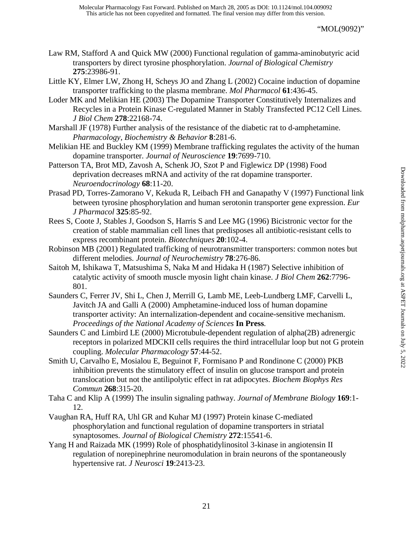This article has not been copyedited and formatted. The final version may differ from this version. Molecular Pharmacology Fast Forward. Published on March 28, 2005 as DOI: 10.1124/mol.104.009092

"MOL(9092)"

- Law RM, Stafford A and Quick MW (2000) Functional regulation of gamma-aminobutyric acid transporters by direct tyrosine phosphorylation. *Journal of Biological Chemistry* **275**:23986-91.
- Little KY, Elmer LW, Zhong H, Scheys JO and Zhang L (2002) Cocaine induction of dopamine transporter trafficking to the plasma membrane. *Mol Pharmacol* **61**:436-45.
- Loder MK and Melikian HE (2003) The Dopamine Transporter Constitutively Internalizes and Recycles in a Protein Kinase C-regulated Manner in Stably Transfected PC12 Cell Lines. *J Biol Chem* **278**:22168-74.
- Marshall JF (1978) Further analysis of the resistance of the diabetic rat to d-amphetamine. *Pharmacology, Biochemistry & Behavior* **8**:281-6.
- Melikian HE and Buckley KM (1999) Membrane trafficking regulates the activity of the human dopamine transporter. *Journal of Neuroscience* **19**:7699-710.
- Patterson TA, Brot MD, Zavosh A, Schenk JO, Szot P and Figlewicz DP (1998) Food deprivation decreases mRNA and activity of the rat dopamine transporter. *Neuroendocrinology* **68**:11-20.
- Prasad PD, Torres-Zamorano V, Kekuda R, Leibach FH and Ganapathy V (1997) Functional link between tyrosine phosphorylation and human serotonin transporter gene expression. *Eur J Pharmacol* **325**:85-92.
- Rees S, Coote J, Stables J, Goodson S, Harris S and Lee MG (1996) Bicistronic vector for the creation of stable mammalian cell lines that predisposes all antibiotic-resistant cells to express recombinant protein. *Biotechniques* **20**:102-4.
- Robinson MB (2001) Regulated trafficking of neurotransmitter transporters: common notes but different melodies. *Journal of Neurochemistry* **78**:276-86.
- Saitoh M, Ishikawa T, Matsushima S, Naka M and Hidaka H (1987) Selective inhibition of catalytic activity of smooth muscle myosin light chain kinase. *J Biol Chem* **262**:7796- 801.
- Saunders C, Ferrer JV, Shi L, Chen J, Merrill G, Lamb ME, Leeb-Lundberg LMF, Carvelli L, Javitch JA and Galli A (2000) Amphetamine-induced loss of human dopamine transporter activity: An internalization-dependent and cocaine-sensitive mechanism. *Proceedings of the National Academy of Sciences* **In Press**.
- Saunders C and Limbird LE (2000) Microtubule-dependent regulation of alpha(2B) adrenergic receptors in polarized MDCKII cells requires the third intracellular loop but not G protein coupling. *Molecular Pharmacology* **57**:44-52.
- Smith U, Carvalho E, Mosialou E, Beguinot F, Formisano P and Rondinone C (2000) PKB inhibition prevents the stimulatory effect of insulin on glucose transport and protein translocation but not the antilipolytic effect in rat adipocytes. *Biochem Biophys Res Commun* **268**:315-20.
- Taha C and Klip A (1999) The insulin signaling pathway. *Journal of Membrane Biology* **169**:1- 12.
- Vaughan RA, Huff RA, Uhl GR and Kuhar MJ (1997) Protein kinase C-mediated phosphorylation and functional regulation of dopamine transporters in striatal synaptosomes. *Journal of Biological Chemistry* **272**:15541-6.
- Yang H and Raizada MK (1999) Role of phosphatidylinositol 3-kinase in angiotensin II regulation of norepinephrine neuromodulation in brain neurons of the spontaneously hypertensive rat. *J Neurosci* **19**:2413-23.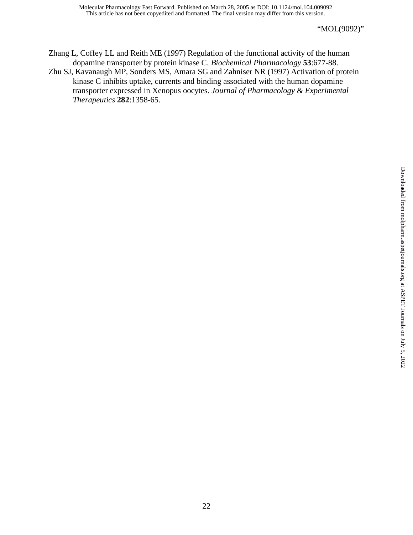- Zhang L, Coffey LL and Reith ME (1997) Regulation of the functional activity of the human dopamine transporter by protein kinase C. *Biochemical Pharmacology* **53**:677-88.
- Zhu SJ, Kavanaugh MP, Sonders MS, Amara SG and Zahniser NR (1997) Activation of protein kinase C inhibits uptake, currents and binding associated with the human dopamine transporter expressed in Xenopus oocytes. *Journal of Pharmacology & Experimental Therapeutics* **282**:1358-65.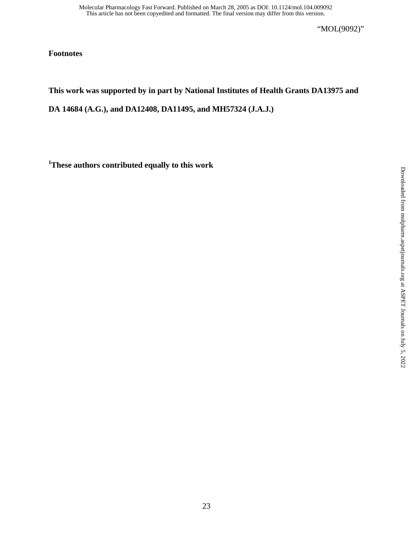**Footnotes** 

# **This work was supported by in part by National Institutes of Health Grants DA13975 and**

**DA 14684 (A.G.), and DA12408, DA11495, and MH57324 (J.A.J.)** 

**1 These authors contributed equally to this work**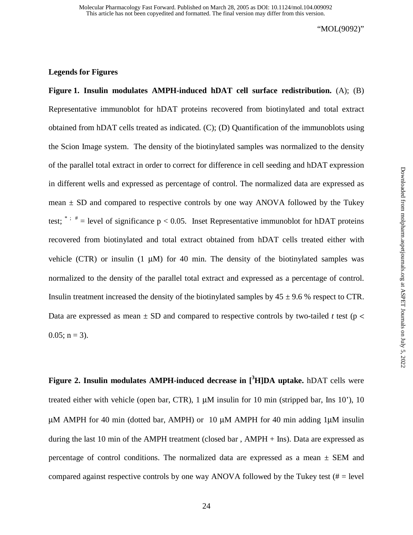## **Legends for Figures**

**Figure 1. Insulin modulates AMPH-induced hDAT cell surface redistribution.** (A); (B) Representative immunoblot for hDAT proteins recovered from biotinylated and total extract obtained from hDAT cells treated as indicated. (C); (D) Quantification of the immunoblots using the Scion Image system. The density of the biotinylated samples was normalized to the density of the parallel total extract in order to correct for difference in cell seeding and hDAT expression in different wells and expressed as percentage of control. The normalized data are expressed as mean  $\pm$  SD and compared to respective controls by one way ANOVA followed by the Tukey test;  $\ast$   $\ast$   $\ast$  = level of significance p < 0.05. Inset Representative immunoblot for hDAT proteins recovered from biotinylated and total extract obtained from hDAT cells treated either with vehicle (CTR) or insulin (1  $\mu$ M) for 40 min. The density of the biotinylated samples was normalized to the density of the parallel total extract and expressed as a percentage of control. Insulin treatment increased the density of the biotinylated samples by  $45 \pm 9.6$  % respect to CTR. Data are expressed as mean  $\pm$  SD and compared to respective controls by two-tailed t test ( $p$  <  $0.05$ ; n = 3).

**Figure 2. Insulin modulates AMPH-induced decrease in [<sup>3</sup>H]DA uptake.** hDAT cells were treated either with vehicle (open bar, CTR), 1 µM insulin for 10 min (stripped bar, Ins 10'), 10 µM AMPH for 40 min (dotted bar, AMPH) or 10 µM AMPH for 40 min adding 1µM insulin during the last 10 min of the AMPH treatment (closed bar, AMPH + Ins). Data are expressed as percentage of control conditions. The normalized data are expressed as a mean  $\pm$  SEM and compared against respective controls by one way ANOVA followed by the Tukey test  $# = level$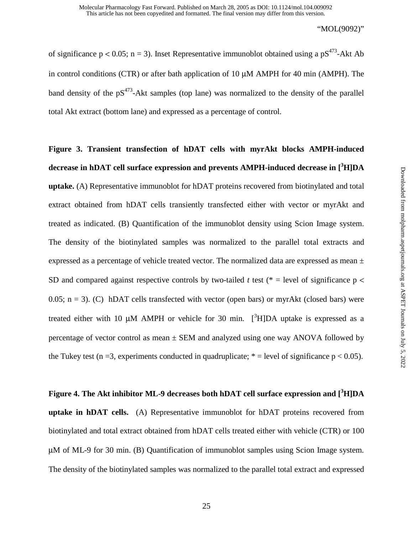of significance  $p < 0.05$ ; n = 3). Inset Representative immunoblot obtained using a  $pS<sup>473</sup>$ -Akt Ab in control conditions (CTR) or after bath application of 10 µM AMPH for 40 min (AMPH). The band density of the  $pS^{473}$ -Akt samples (top lane) was normalized to the density of the parallel total Akt extract (bottom lane) and expressed as a percentage of control.

**Figure 3. Transient transfection of hDAT cells with myrAkt blocks AMPH-induced decrease in hDAT cell surface expression and prevents AMPH-induced decrease in [3 H]DA uptake.** (A) Representative immunoblot for hDAT proteins recovered from biotinylated and total extract obtained from hDAT cells transiently transfected either with vector or myrAkt and treated as indicated. (B) Quantification of the immunoblot density using Scion Image system. The density of the biotinylated samples was normalized to the parallel total extracts and expressed as a percentage of vehicle treated vector. The normalized data are expressed as mean  $\pm$ SD and compared against respective controls by two-tailed *t* test (\* = level of significance  $p <$ 0.05;  $n = 3$ ). (C) hDAT cells transfected with vector (open bars) or myrAkt (closed bars) were treated either with 10  $\mu$ M AMPH or vehicle for 30 min. [<sup>3</sup>H]DA uptake is expressed as a percentage of vector control as mean  $\pm$  SEM and analyzed using one way ANOVA followed by the Tukey test (n =3, experiments conducted in quadruplicate;  $*$  = level of significance p < 0.05).

**Figure 4. The Akt inhibitor ML-9 decreases both hDAT cell surface expression and [<sup>3</sup> H]DA uptake in hDAT cells.** (A) Representative immunoblot for hDAT proteins recovered from biotinylated and total extract obtained from hDAT cells treated either with vehicle (CTR) or 100 µM of ML-9 for 30 min. (B) Quantification of immunoblot samples using Scion Image system. The density of the biotinylated samples was normalized to the parallel total extract and expressed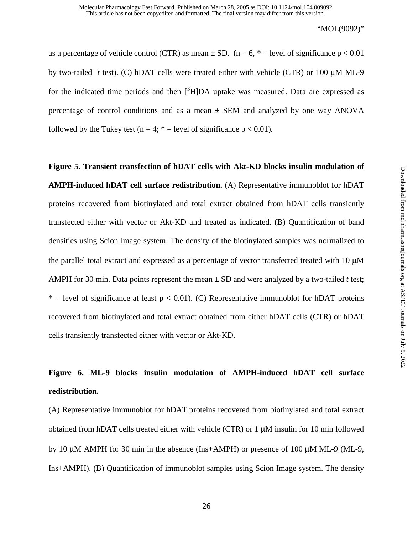as a percentage of vehicle control (CTR) as mean  $\pm$  SD. (n = 6,  $*$  = level of significance p < 0.01 by two-tailed *t* test). (C) hDAT cells were treated either with vehicle (CTR) or 100 µM ML-9 for the indicated time periods and then  $[{}^{3}H]DA$  uptake was measured. Data are expressed as percentage of control conditions and as a mean  $\pm$  SEM and analyzed by one way ANOVA followed by the Tukey test ( $n = 4$ ;  $* =$  level of significance  $p < 0.01$ ).

**Figure 5. Transient transfection of hDAT cells with Akt-KD blocks insulin modulation of AMPH-induced hDAT cell surface redistribution.** (A) Representative immunoblot for hDAT proteins recovered from biotinylated and total extract obtained from hDAT cells transiently transfected either with vector or Akt-KD and treated as indicated. (B) Quantification of band densities using Scion Image system. The density of the biotinylated samples was normalized to the parallel total extract and expressed as a percentage of vector transfected treated with 10 µM AMPH for 30 min. Data points represent the mean  $\pm$  SD and were analyzed by a two-tailed *t* test;  $*$  = level of significance at least  $p < 0.01$ ). (C) Representative immunoblot for hDAT proteins recovered from biotinylated and total extract obtained from either hDAT cells (CTR) or hDAT cells transiently transfected either with vector or Akt-KD.

# **Figure 6. ML-9 blocks insulin modulation of AMPH-induced hDAT cell surface redistribution.**

(A) Representative immunoblot for hDAT proteins recovered from biotinylated and total extract obtained from hDAT cells treated either with vehicle (CTR) or 1 µM insulin for 10 min followed by 10 µM AMPH for 30 min in the absence (Ins+AMPH) or presence of 100 µM ML-9 (ML-9, Ins+AMPH). (B) Quantification of immunoblot samples using Scion Image system. The density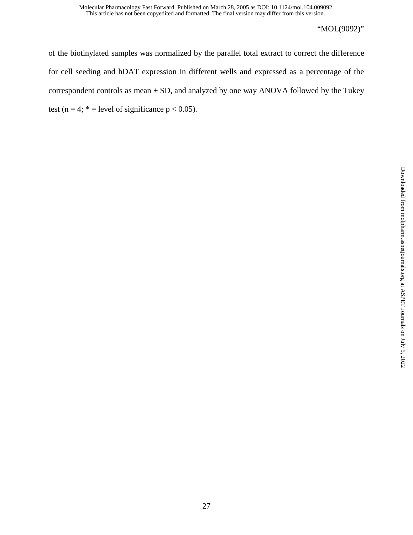of the biotinylated samples was normalized by the parallel total extract to correct the difference for cell seeding and hDAT expression in different wells and expressed as a percentage of the correspondent controls as mean  $\pm$  SD, and analyzed by one way ANOVA followed by the Tukey test (n = 4;  $*$  = level of significance p < 0.05).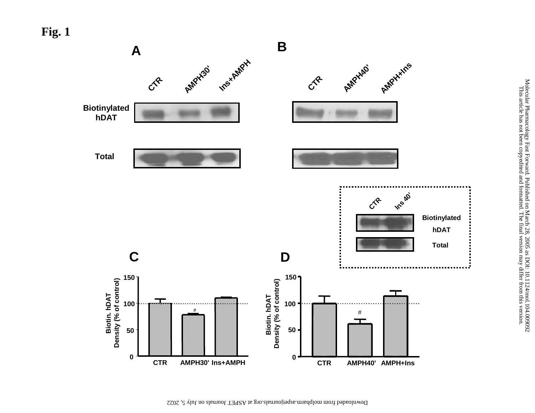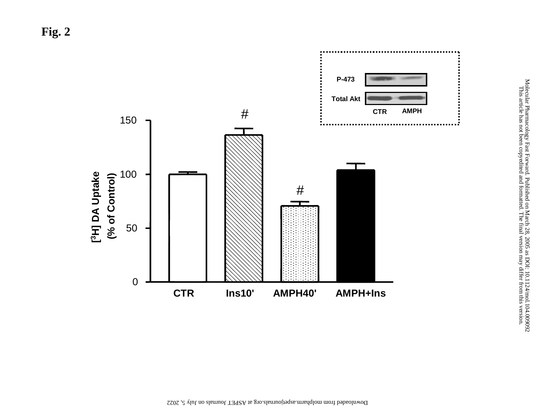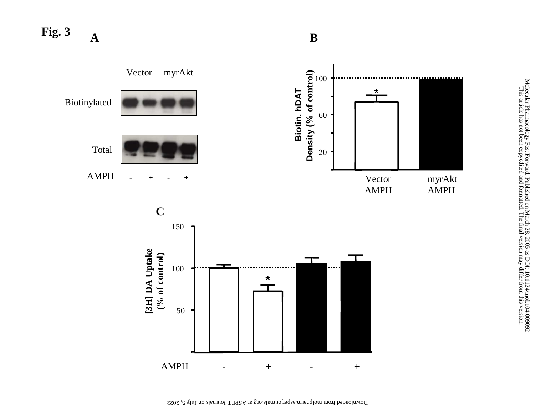#### **A B** $\bf{B}$

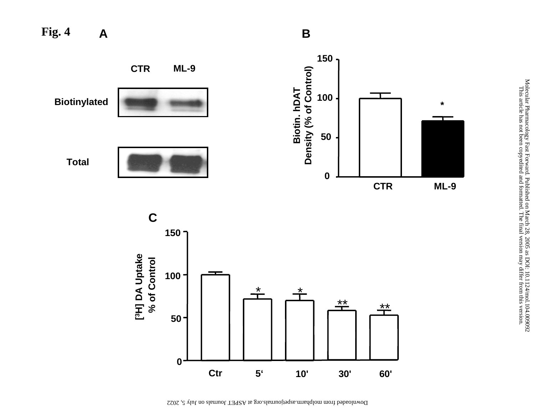

Downloaded from [molpharm.aspetjournals.org](http://molpharm.aspetjournals.org/) at ASPET Journals no July 5, 2022

Molecular Pharmacology Fast Forward. Published on March 28, 2005 as DOI: 10.1124/mol.104.009092<br>This article has not been copyedited and formatted. The final version may differ from this version. Molecular Pharmacology Fast Forward. Published on March 28, 2005 as DOI: 10.1124/mol.104.009092 This article has not been copyedited and formatted. The final version may differ from this version.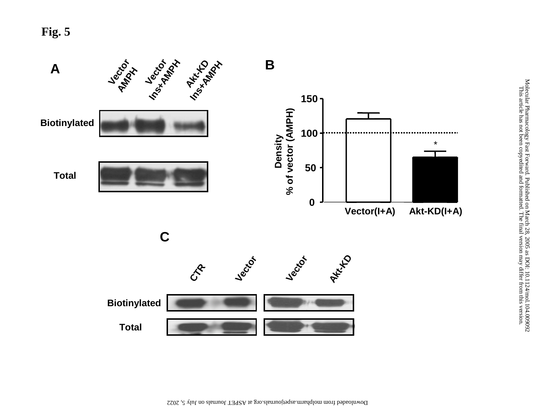